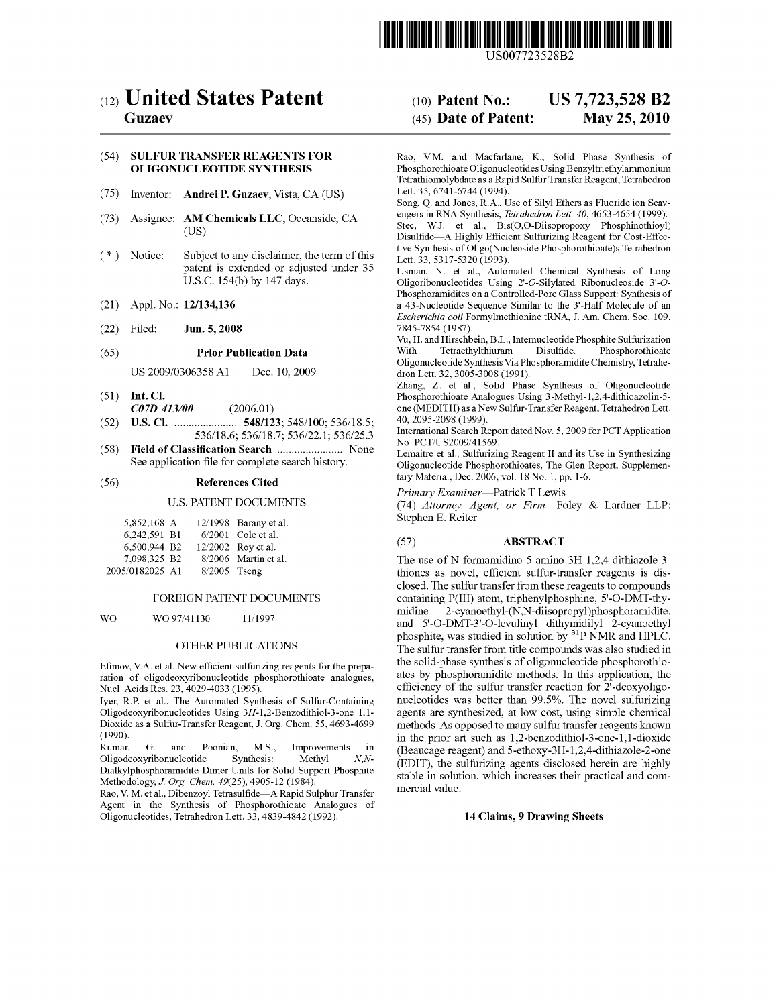

US007723528B2

# (12) United States Patent

## **Guzaev**

## (54) SULFUR TRANSFER REAGENTS FOR OLGONUCLEOTDE SYNTHESIS

- (75) Inventor: Andrei P. Guzaev, Vista, CA (US)
- (73) Assignee: AMChemicals LLC, Oceanside, CA (US)
- (\*) Notice: Subject to any disclaimer, the term of this patent is extended or adjusted under 35 U.S.C. 154(b) by 147 days.
- (21) Appl. No.: 12/134,136
- (22) Filed: Jun. 5, 2008

#### (65) Prior Publication Data

US 2009/0306358 A1 Dec. 10, 2009

- (51) Int. Cl.  $C07D$  413/00 (2006.01) (52) U.S. Cl. ...................... 548/123: 548/100; 536/18.5;
- 536/18.6; 536/18.7; 536/22.1; 536/25.3
- (58) Field of Classification Search ....................... None See application file for complete search history.

## (56) References Cited

#### U.S. PATENT DOCUMENTS

| 5,852,168 A     |              | 12/1998 Barany et al. |
|-----------------|--------------|-----------------------|
| 6,242,591 B1    |              | 6/2001 Cole et al.    |
| 6.500.944 B2    |              | 12/2002 Roy et al.    |
| 7,098,325 B2    |              | 8/2006 Martin et al.  |
| 2005/0182025 A1 | 8/2005 Tseng |                       |

#### FOREIGN PATENT DOCUMENTS

#### WO WO 97/41130 11/1997

### OTHER PUBLICATIONS

Efimov, V.A. et al. New efficient sulfurizing reagents for the prepa ration of oligodeoxyribonucleotide phosphorothioate analogues, Nucl. Acids Res. 23, 4029-4033 (1995).

Iyer, R.P. et al., The Automated Synthesis of Sulfur-Containing Oligodeoxyribonucleotides Using 3H-1,2-Benzodithiol-3-one 1,1- Dioxide as a Sulfur-Transfer Reagent, J. Org. Chem. 55, 4693-4699 (1990).

G. and Poonian, M.S., Improvements in<br>yribonucleotide Synthesis: Methyl N<sub>N</sub>N-Oligodeoxyribonucleotide Dialkylphosphoramidite Dimer Units for Solid Support Phosphite Methodology, J. Org. Chem. 49(25), 4905-12 (1984).

Rao, V. M. et al., Dibenzoyl Tetrasulfide—A Rapid Sulphur Transfer Agent in the Synthesis of Phosphorothioate Analogues of Oligonucleotides, Tetrahedron Lett. 33, 4839-4842 (1992).

# (10) Patent No.: US 7,723,528 B2<br>(45) Date of Patent: May 25, 2010  $(45)$  Date of Patent:

Rao, V.M. and Macfarlane, K., Solid Phase Synthesis of Phosphorothioate Oligonucleotides Using Benzyltriethylammonium Tetrathiomolybdate as a Rapid Sulfur Transfer Reagent, Tetrahedron Lett. 35,6741-6744 (1994).

Song, Q. and Jones, R.A., Use of Silyl Ethers as Fluoride ion Scav engers in RNA Synthesis, Tetrahedron Lett. 40, 4653-4654 (1999). Stec, W.J. et al., Bis(O,O-Diisopropoxy Phosphinothioyl) Disulfide—A Highly Efficient Sulfurizing Reagent for Cost-Effec

tive Synthesis of Oligo(Nucleoside Phosphorothioate)s Tetrahedron Lett. 33, 5317-5320 (1993).<br>Usman, N. et al., Automated Chemical Synthesis of Long

Oligoribonucleotides Using  $2$ -O-Silylated Ribonucleoside 3'-O-Phosphoramidites on a Controlled-Pore Glass Support: Synthesis of a 43-Nucleotide Sequence Similar to the 3'-Half Molecule of an Escherichia coli Formylmethionine tRNA. J. Am. Chem. Soc. 109, 7845-7854 (1987).

Vu, H. and Hirschbein, B.L., Internucleotide Phosphite Sulfurization Tetraethylthiuram Oligonucleotide Synthesis Via Phosphoramidite Chemistry, Tetrahe dron Lett. 32, 3005-3008 (1991).<br>Zhang, Z. et al., Solid Phase Synthesis of Oligonucleotide

Phosphorothioate Analogues Using 3-Methyl-1,2,4-dithioazolin-5one (MEDITH) as a New Sulfur-Transfer Reagent, Tetrahedron Lett.

International Search Report dated Nov. 5, 2009 for PCT Application No. PCT/US2009/41569.<br>Lemaitre et al., Sulfurizing Reagent II and its Use in Synthesizing

Oligonucleotide Phosphorothioates, The Glen Report, Supplementary Material, Dec. 2006, vol. 18 No. 1, pp. 1-6.

Primary Examiner-Patrick T Lewis

(74) Attorney, Agent, or Firm—Foley & Lardner LLP: Stephen E. Reiter

## (57) ABSTRACT

The use of N-formamidino-5-amino-3H-1,2,4-dithiazole-3 thiones as novel, efficient sulfur-transfer reagents is disclosed. The sulfur transfer from these reagents to compounds containing P(III) atom, triphenylphosphine, 5'-O-DMT-thy-<br>midine 2-cyanoethyl-(N,N-diisopropyl)phosphoramidite, and 5'-O-DMT-3'-O-levulinyl dithymidilyl 2-cyanoethyl phosphite, was studied in solution by <sup>31</sup>P NMR and HPLC. The sulfur transfer from title compounds was also studied in the solid-phase synthesis of oligonucleotide phosphorothioates by phosphoramidite methods. In this application, the efficiency of the sulfur transfer reaction for 2'-deoxyoligo nucleotides was better than 99.5%. The novel sulfurizing agents are synthesized, at low cost, using simple chemical methods. As opposed to many sulfur transfer reagents known<br>in the prior art such as 1,2-benzodithiol-3-one-1,1-dioxide (Beaucage reagent) and  $5$ -ethoxy-3H-1,2,4-dithiazole-2-one (EDIT), the sulfurizing agents disclosed herein are highly stable in solution, which increases their practical and com mercial value.

## 14 Claims, 9 Drawing Sheets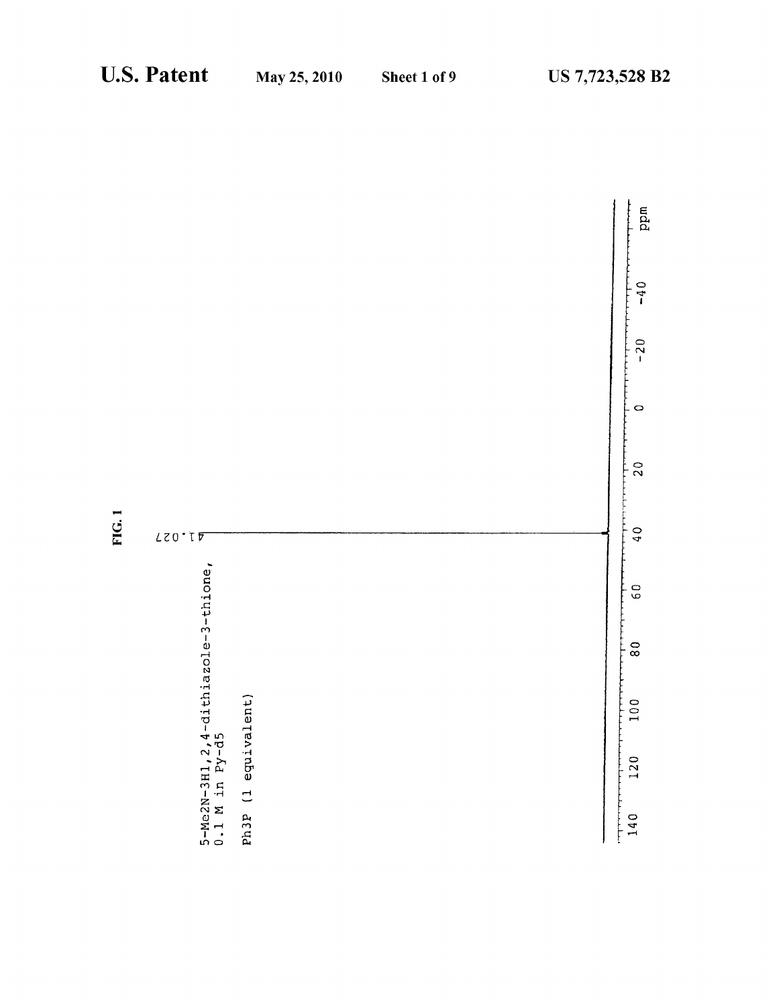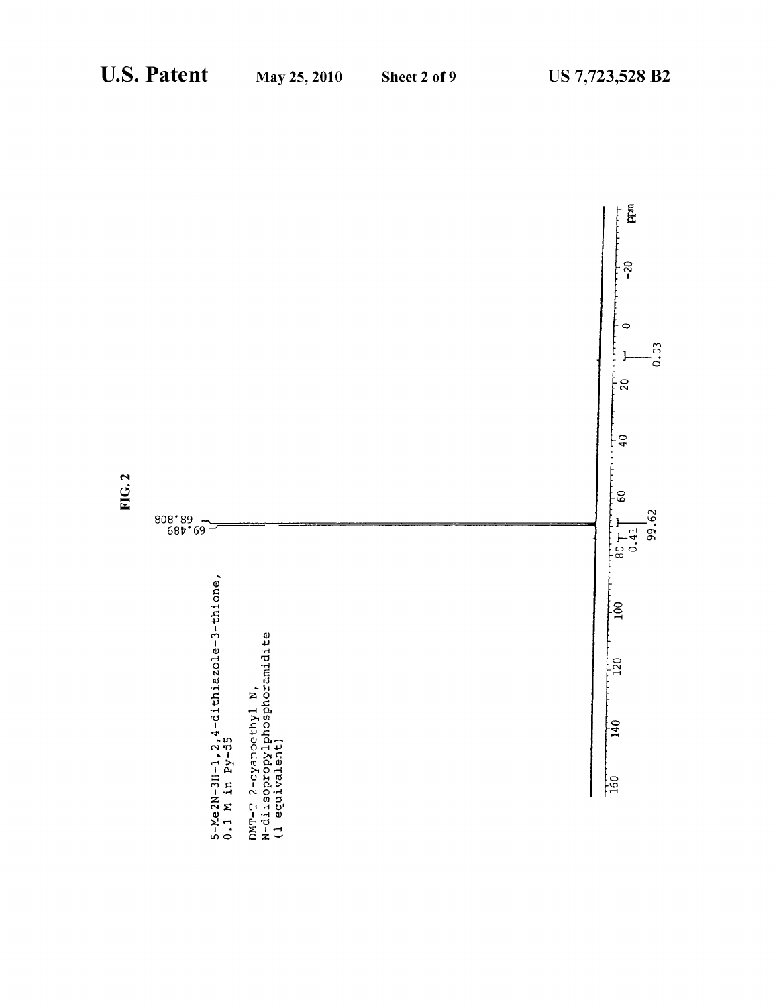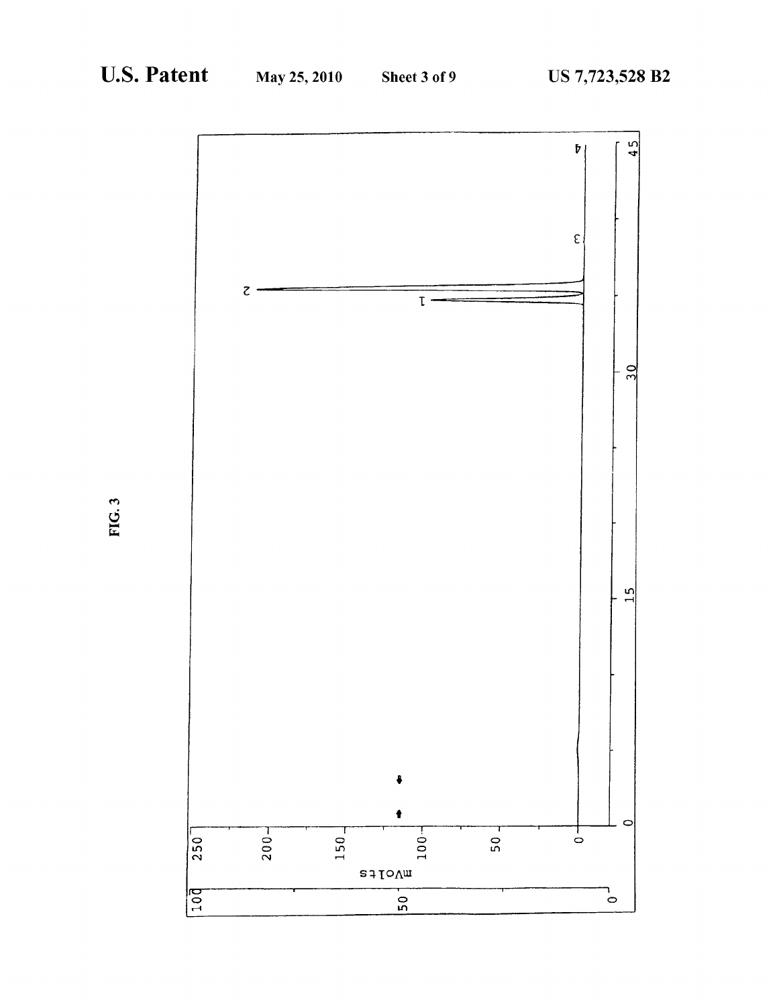

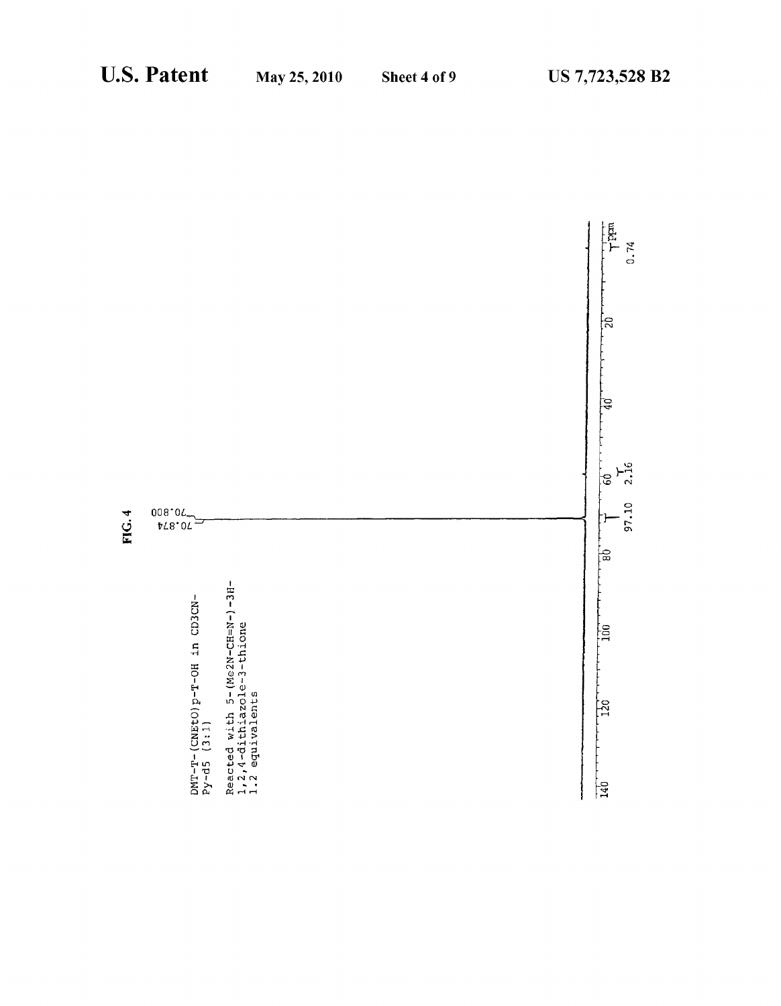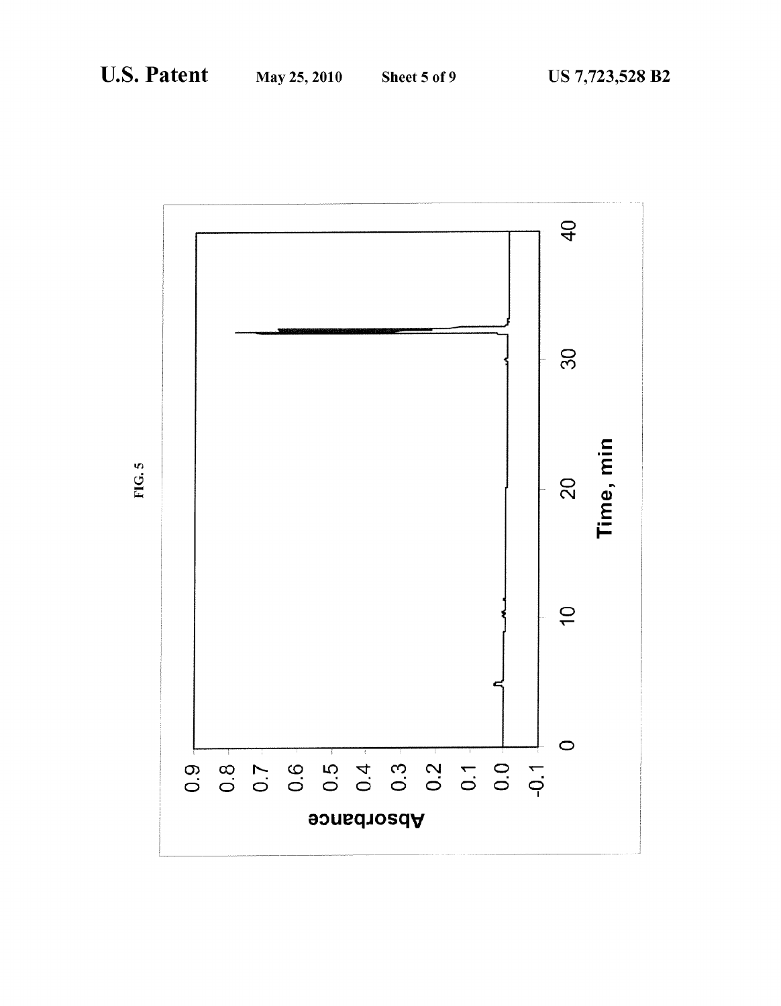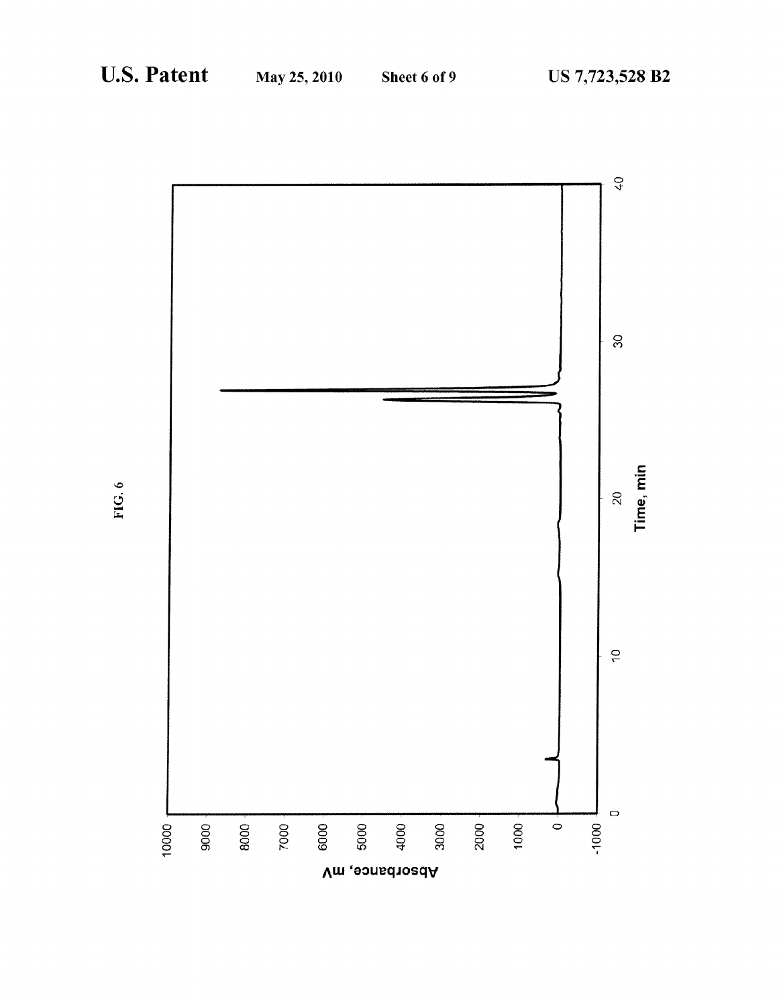

**U.S. Patent**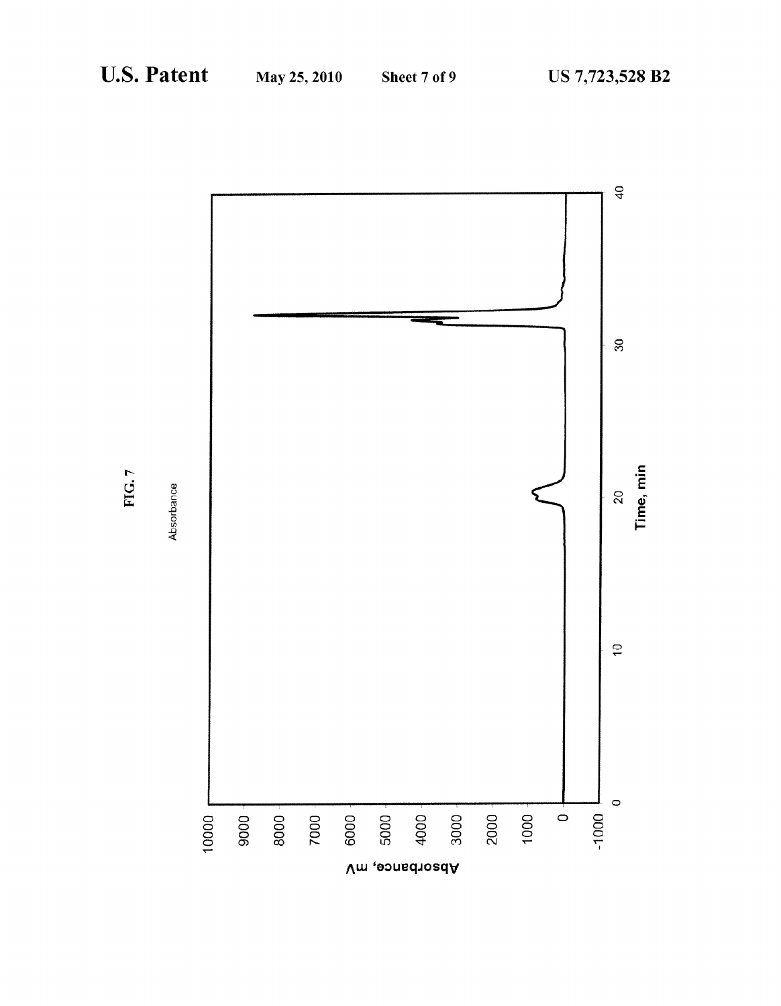

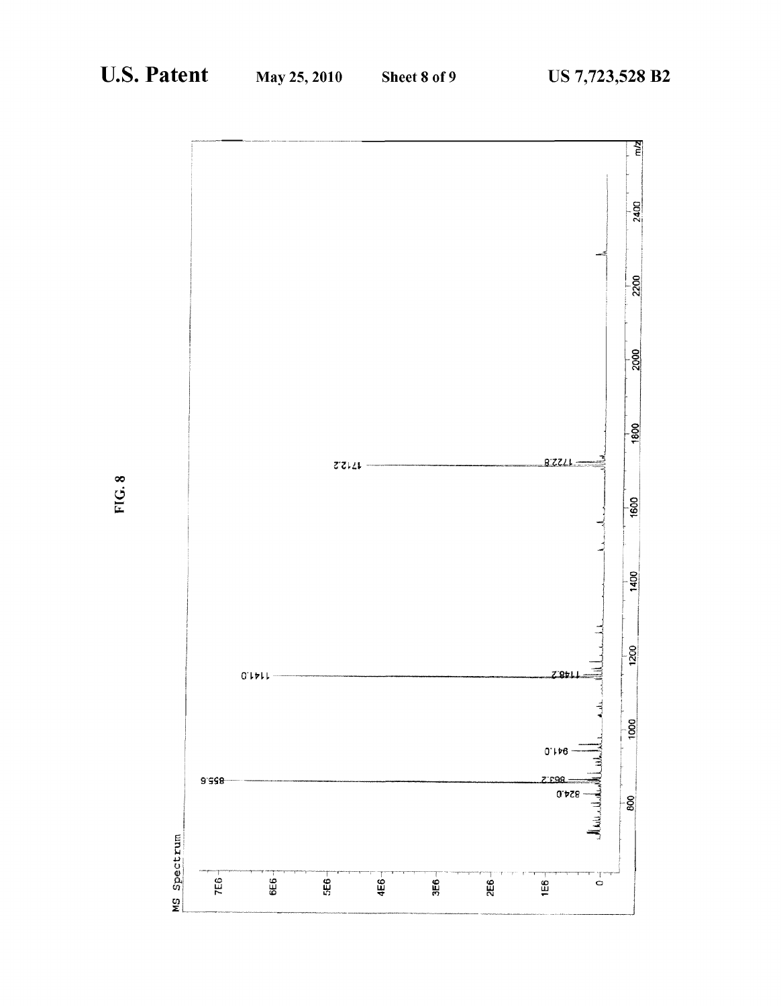

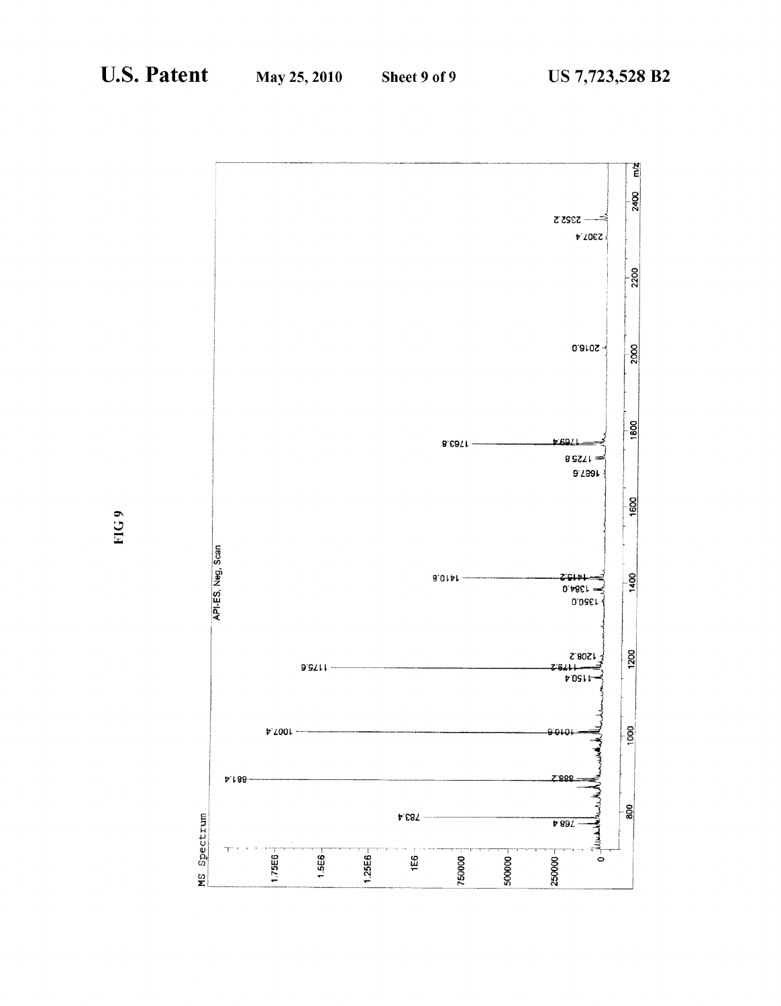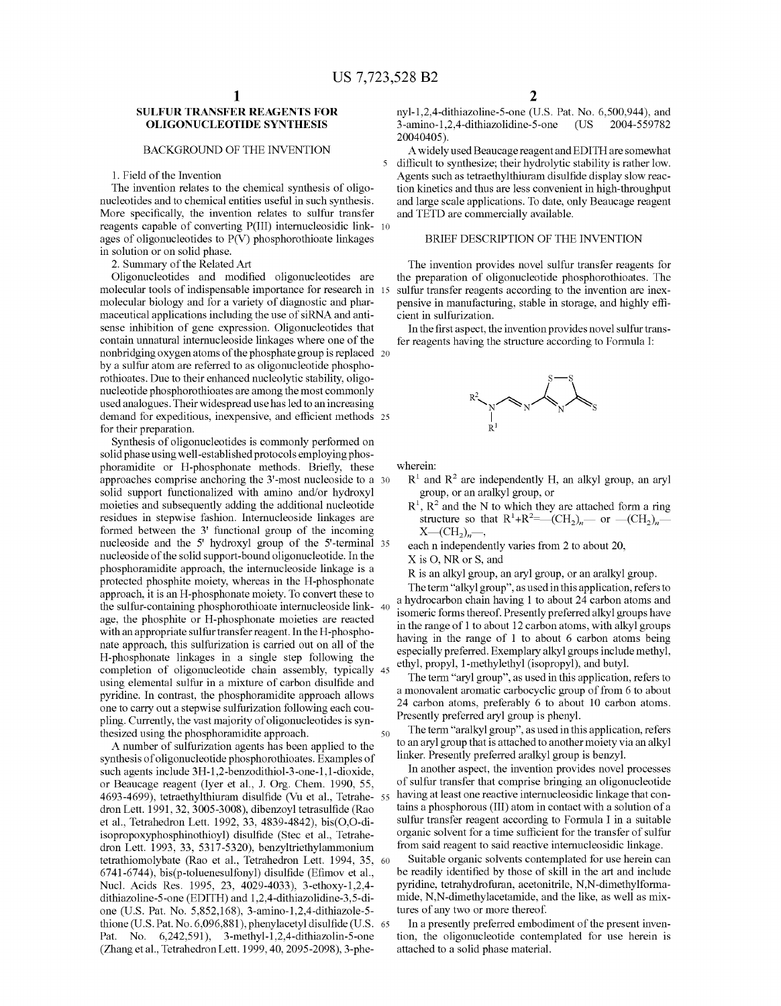## SULFUR TRANSFER REAGENTS FOR OLGONUCLEOTDE SYNTHESIS

#### BACKGROUND OF THE INVENTION

## 1. Field of the Invention

The invention relates to the chemical synthesis of oligo nucleotides and to chemical entities useful in Such synthesis. More specifically, the invention relates to sulfur transfer reagents capable of converting P(III) internucleosidic link- 10 ages of oligonucleotides to P(V) phosphorothioate linkages in solution or on solid phase.

2. Summary of the Related Art

Oligonucleotides and modified oligonucleotides are molecular tools of indispensable importance for research in 15 molecular biology and for a variety of diagnostic and phar maceutical applications including the use of siRNA and anti sense inhibition of gene expression. Oligonucleotides that contain unnatural internucleoside linkages where one of the nonbridging oxygen atoms of the phosphate group is replaced 20 by a sulfur atom are referred to as oligonucleotide phosphorothioates. Due to their enhanced nucleolytic stability, oligo nucleotide phosphorothioates are among the most commonly used analogues. Their widespread use has led to an increasing demand for expeditious, inexpensive, and efficient methods 25

for their preparation. Synthesis of oligonucleotides is commonly performed on solid phase using well-established protocols employing phosphoramidite or H-phosphonate methods. Briefly, these approaches comprise anchoring the 3'-most nucleoside to a 30 solid support functionalized with amino and/or hydroxyl moieties and subsequently adding the additional nucleotide residues in stepwise fashion. Internucleoside linkages are formed between the 3' functional group of the incoming nucleoside and the 5' hydroxyl group of the 5'-terminal nucleoside of the solid support-bound oligonucleotide. In the phosphoramidite approach, the internucleoside linkage is a protected phosphite moiety, whereas in the H-phosphonate approach, it is an H-phosphonate moiety. To convert these to the suitur-containing phosphorothioate internucleoside link- 40 age, the phosphite or H-phosphonate moieties are reacted with an appropriate sulfur transfer reagent. In the H-phosphonate approach, this sulfurization is carried out on all of the H-phosphonate linkages in a single step following the completion of oligonucleotide chain assembly, typically 45 using elemental Sulfur in a mixture of carbon disulfide and pyridine. In contrast, the phosphoramidite approach allows one to carry out a stepwise Sulfurization following each cou pling. Currently, the vast majority of oligonucleotides is syn thesized using the phosphoramidite approach. 35 50

A number of Sulfurization agents has been applied to the synthesis of oligonucleotide phosphorothioates. Examples of such agents include 3H-1,2-benzodithiol-3-one-1,1-dioxide, or Beaucage reagent (Iyer et al., J. Org. Chem. 1990, 55. 4693-4699), tetraethylthiuram disulfide (Vu et al., Tetrahe 55 dron Lett. 1991, 32, 3005-3008), dibenzoyl tetrasulfide (Rao et al., Tetrahedron Lett. 1992, 33, 4839-4842), bis(O,O-diisopropoxyphosphinothioyl) disulfide (Stec et al., Tetrahedron Lett. 1993, 33, 5317-5320), benzyltriethylammonium tetrathiomolybate (Rao et al., Tetrahedron Lett. 1994, 35, 60 6741-6744), bis(p-toluenesulfonyl) disulfide (Efimov et al., Nucl. Acids Res. 1995, 23, 4029-4033), 3-ethoxy-1,2,4 dithiazoline-5-one (EDITH) and 1,2,4-dithiazolidine-3,5-di one (U.S. Pat. No. 5,852,168), 3-amino-1,2,4-dithiazole-5  $t$  mone (U.S. Pat. No. 6,096,881), phenylacetyl disulfide (U.S. 65) Pat. No. 6.242.591), 3-methyl-1,2,4-dithiazolin-5-one (Zhanget al., Tetrahedron Lett. 1999, 40, 2095-2098), 3-phe

nyl-1,2,4-dithiazoline-5-one (U.S. Pat. No. 6,500.944), and  $3$ -amino-1,2,4-dithiazolidine-5-one (US 20040405).

A widely used Beaucage reagent and EDITH are somewhat difficult to synthesize; their hydrolytic stability is rather low. Agents such as tetraethylthiuram disulfide display slow reaction kinetics and thus are less convenient in high-throughput and large scale applications. To date, only Beaucage reagent and TETD are commercially available.

## BRIEF DESCRIPTION OF THE INVENTION

The invention provides novel sulfur transfer reagents for the preparation of oligonucleotide phosphorothioates. The sulfur transfer reagents according to the invention are inexpensive in manufacturing, stable in storage, and highly effi cient in Sulfurization.

In the first aspect, the invention provides novel sulfur trans fer reagents having the structure according to Formula I:



wherein:

- $R<sup>1</sup>$  and  $R<sup>2</sup>$  are independently H, an alkyl group, an aryl group, or an aralkyl group, or
- $R<sup>1</sup>$ ,  $R<sup>2</sup>$  and the N to which they are attached form a ring structure so that  $R^1 + R^2 = -(CH_2)_n$  or  $- (CH_2)_n$ <br>X- $(CH_2)_n$ ,

each n independently varies from 2 to about 20,

X is O, NR or S, and

R is an alkyl group, an aryl group, or an aralkyl group.

The term "alkyl group', as used in this application, refers to a hydrocarbon chain having 1 to about 24 carbon atoms and isomeric forms thereof. Presently preferred alkyl groups have<br>in the range of 1 to about 12 carbon atoms, with alkyl groups having in the range of 1 to about 6 carbon atoms being especially preferred. Exemplary alkyl groups include methyl, ethyl, propyl, 1-methylethyl (isopropyl), and butyl.

The term "aryl group', as used in this application, refers to a monovalent aromatic carbocyclic group of from 6 to about 24 carbon atoms, preferably 6 to about 10 carbon atoms. Presently preferred aryl group is phenyl.

The term "aralkyl group", as used in this application, refers<br>to an aryl group that is attached to another moiety via an alkyl linker. Presently preferred aralkyl group is benzyl.

In another aspect, the invention provides novel processes of Sulfur transfer that comprise bringing an oligonucleotide having at least one reactive internucleosidic linkage that con tains a phosphorous (III) atom in contact with a solution of a sulfur transfer reagent according to Formula I in a suitable organic solvent for a time sufficient for the transfer of sulfur from said reagent to said reactive internucleosidic linkage.

Suitable organic solvents contemplated for use herein can be readily identified by those of skill in the art and include pyridine, tetrahydrofuran, acetonitrile, N,N-dimethylforma mide, N,N-dimethylacetamide, and the like, as well as mix tures of any two or more thereof.

In a presently preferred embodiment of the present inven tion, the oligonucleotide contemplated for use herein is attached to a solid phase material.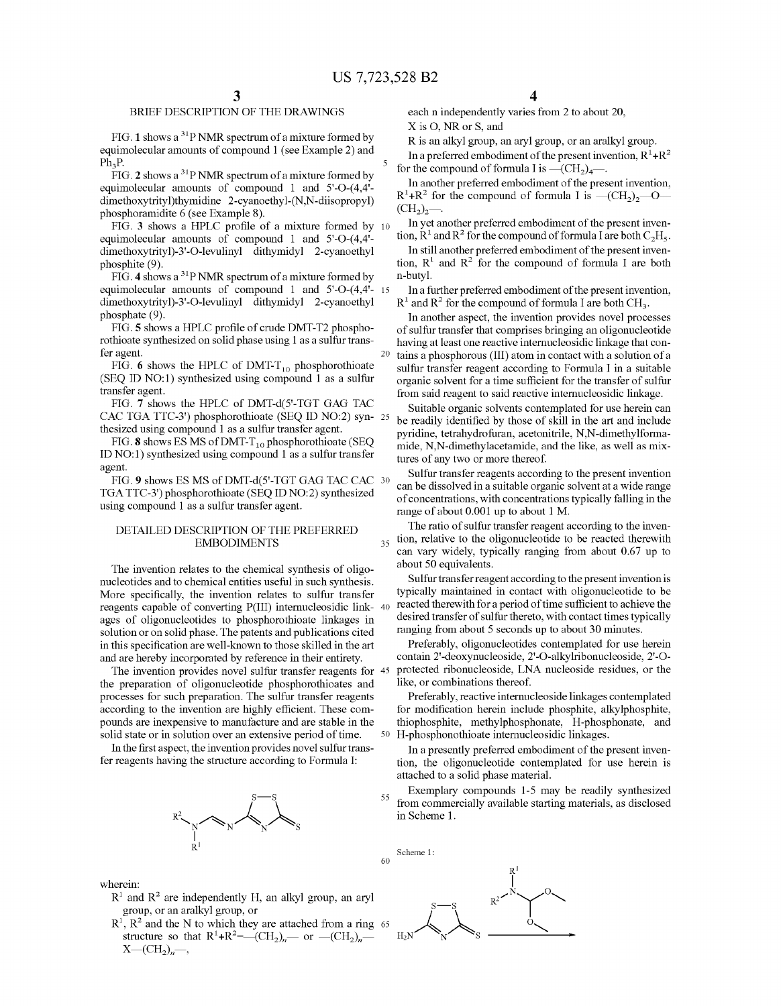## BRIEF DESCRIPTION OF THE DRAWINGS

FIG. 1 shows a  $3^{31}$ P NMR spectrum of a mixture formed by equimolecular amounts of compound 1 (see Example 2) and  $Ph_3P$ .<br>FIG. 2 shows a <sup>31</sup>P NMR spectrum of a mixture formed by

equimolecular amounts of compound 1 and 5'-O-(4,4'- dimethoxytrityl)thymidine 2-cyanoethyl-(N,N-diisopropyl) phosphoramidite 6 (see Example 8).

equimolecular amounts of compound 1 and 5'-O-(4,4<sup>'</sup>- dimethoxytrityl)-3'-O-levulinyl dithymidyl 2-cyanoethyl phosphite (9).<br>FIG. 4 shows a <sup>31</sup>P NMR spectrum of a mixture formed by FIG. 3 shows a HPLC profile of a mixture formed by 10

dimethoxytrityl)-3'-O-levulinyl dithymidyl 2-cyanoethyl phosphate (9).<br>FIG. 5 shows a HPLC profile of crude DMT-T2 phosphoequimolecular amounts of compound 1 and  $5'-O-(4,4'-15)$ 

rothioate synthesized on solid phase using 1 as a sulfur transfer agent.<br>FIG. 6 shows the HPLC of DMT- $T_{10}$  phosphorothioate

 $(SEQ ID NO:1)$  synthesized using compound 1 as a sulfur transfer agent.

FIG. 7 shows the HPLC of DMT-d(5'-TGT GAG TAC the sized using compound 1 as a sulfur transfer agent. CAC TGA TTC-3') phosphorothioate (SEQ ID NO:2) syn- 25

FIG. 8 shows ES MS of DMT-T<sub>10</sub> phosphorothioate (SEQ ID NO:1) synthesized using compound 1 as a sulfur transfer agent.

FIG. 9 shows ES MS of DMT-d(5'-TGT GAG TAC CAC 30 TGATTC-3) phosphorothioate (SEQID NO:2) synthesized using compound 1 as a sulfur transfer agent.

## DETAILED DESCRIPTION OF THE PREFERRED EMBODIMENTS

The invention relates to the chemical synthesis of oligo nucleotides and to chemical entities useful in Such synthesis. More specifically, the invention relates to sulfur transfer reagents capable of converting P(III) internucleosidic link- 40 ages of oligonucleotides to phosphorothioate linkages in solution or on solid phase. The patents and publications cited in this specification are well-known to those skilled in the art and are hereby incorporated by reference in their entirety.

The invention provides novel sulfur transfer reagents for 45 the preparation of oligonucleotide phosphorothioates and processes for Such preparation. The Sulfur transfer reagents according to the invention are highly efficient. These com pounds are inexpensive to manufacture and are stable in the solid state or in solution over an extensive period of time.

In the first aspect, the invention provides novel sulfur trans fer reagents having the structure according to Formula I:



4

each n independently varies from 2 to about 20,

X is O, NR or S, and

R is an alkyl group, an aryl group, or an aralkyl group. In a preferred embodiment of the present invention,  $R^1 + R^2$  for the compound of formula I is —(CH<sub>2</sub>)<sub>4</sub>—.

In another preferred embodiment of the present invention,  $R^1 + R^2$  for the compound of formula I is  $-(CH_2)_2$ —O–<br>(CH<sub>2</sub>)<sub>2</sub>—.

In yet another preferred embodiment of the present invention,  $R^1$  and  $R^2$  for the compound of formula I are both  $C_2H_5$ .

In still another preferred embodiment of the present inven tion,  $R<sup>1</sup>$  and  $R<sup>2</sup>$  for the compound of formula I are both n-butyl.

In a further preferred embodiment of the present invention,  $R<sup>1</sup>$  and  $R<sup>2</sup>$  for the compound of formula I are both CH<sub>3</sub>.

In another aspect, the invention provides novel processes of Sulfur transfer that comprises bringing an oligonucleotide having at least one reactive internucleosidic linkage that con tains a phosphorous (III) atom in contact with a solution of a sulfur transfer reagent according to Formula I in a suitable organic solvent for a time sufficient for the transfer of sulfur from said reagent to said reactive internucleosidic linkage.

Suitable organic solvents contemplated for use herein can be readily identified by those of skill in the art and include pyridine, tetrahydrofuran, acetonitrile, N,N-dimethylforma mide, N,N-dimethylacetamide, and the like, as well as mix tures of any two or more thereof.

Sulfur transfer reagents according to the present invention can be dissolved in a suitable organic solvent at a wide range of concentrations, with concentrations typically falling in the range of about 0.001 up to about 1 M.

 $35$  uon, relative to the oligonucleotide to be reacted therewith The ratio of sulfur transfer reagent according to the inven can vary widely, typically ranging from about 0.67 up to about 50 equivalents.

Sulfur transferreagent according to the present invention is typically maintained in contact with oligonucleotide to be reacted therewith for a period of time sufficient to achieve the desired transfer of sulfur thereto, with contact times typically ranging from about 5 seconds up to about 30 minutes.

Preferably, oligonucleotides contemplated for use herein contain 2'-deoxynucleoside, 2'-O-alkylribonucleoside, 2'-Oprotected ribonucleoside, LNA nucleoside residues, or the like, or combinations thereof.

50 H-phosphonothioate internucleosidic linkages. Preferably, reactive internucleoside linkages contemplated thiophosphite, methylphosphonate, H-phosphonate, and

In a presently preferred embodiment of the present inven tion, the oligonucleotide contemplated for use herein is attached to a solid phase material.

55 Exemplary compounds 1-5 may be readily synthesized from commercially available starting materials, as disclosed in Scheme 1.

Scheme 1:

60



- $R<sup>1</sup>$  and  $R<sup>2</sup>$  are independently H, an alkyl group, an aryl group, or an aralkyl group, or
- $R<sup>1</sup>$ ,  $R<sup>2</sup>$  and the N to which they are attached from a ring 65 structure so that  $R^1 + R^2 = (CH_2)_n$  or  $- (CH_2)_n$ .  $X \rightarrow (CH_2)_{n} \rightarrow$

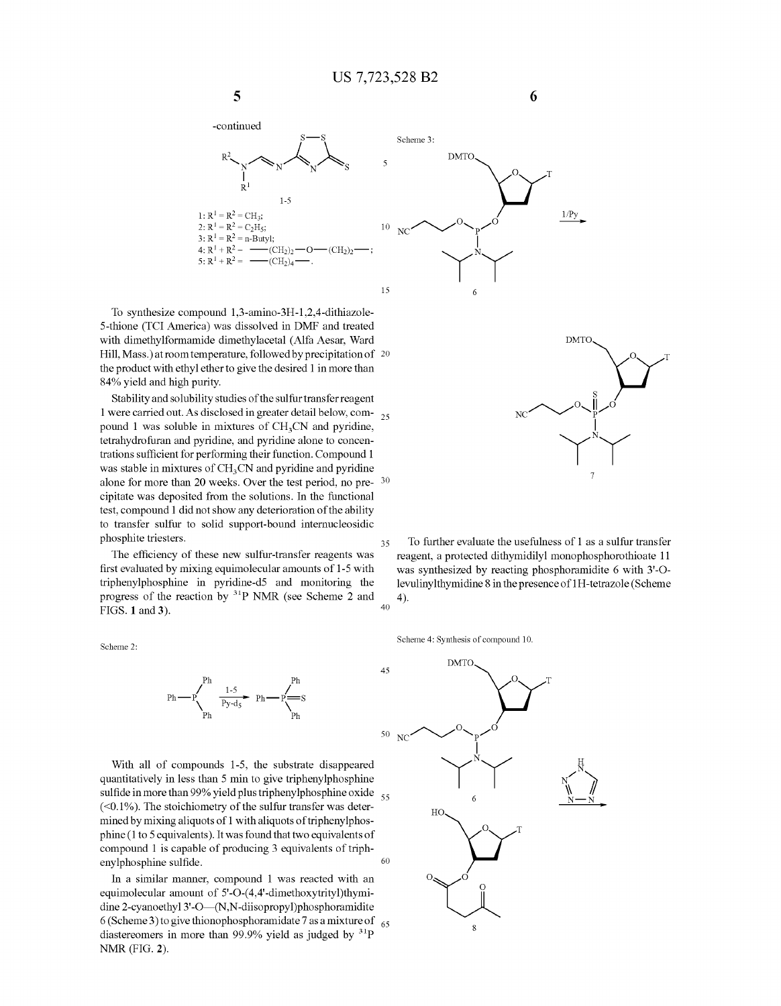

To synthesize compound 1,3-amino-3H-1,2,4-dithiazole 5-thione (TCI America) was dissolved in DMF and treated with dimethylformamide dimethylacetal (Alfa Aesar, Ward Hill, Mass.) at room temperature, followed by precipitation of 20 the product with ethyl ether to give the desired 1 in more than 84% yield and high purity.

Stability and solubility studies of the sulfur transferreagent 1 were carried out. As disclosed in greater detail below, com- $_{25}$ pound 1 was soluble in mixtures of  $CH<sub>3</sub>CN$  and pyridine, tetrahydrofuran and pyridine, and pyridine alone to concen trations sufficient for performing their function. Compound 1 was stable in mixtures of  $CH<sub>3</sub>CN$  and pyridine and pyridine<br>alone for more than 20 weeks. Over the test period, no pre-  $30$ alone for more than 20 weeks. Over the test period, no precipitate was deposited from the solutions. In the functional test, compound 1 did not show any deterioration of the ability to transfer sulfur to solid support-bound internucleosidic phosphite triesters. 35

The efficiency of these new sulfur-transfer reagents was first evaluated by mixing equimolecular amounts of 1-5 with triphenylphosphine in pyridine-d5 and monitoring the progress of the reaction by  $^{31}P$  NMR (see Scheme 2 and  $^{40}$ FIGS.  $1$  and  $3$ ).

Scheme 2:



With all of compounds 1-5, the substrate disappeared quantitatively in less than 5 minto give triphenylphosphine sulfide in more than 99% yield plus triphenylphosphine oxide  $55$  $(<0.1\%)$ . The stoichiometry of the sulfur transfer was determined by mixing aliquots of 1 with aliquots of triphenylphos phine (1 to 5 equivalents). It was found that two equivalents of compound 1 is capable of producing 3 equivalents of triph enylphosphine sulfide. 60

In a similar manner, compound 1 was reacted with an equimolecular amount of 5'-O-(4,4'-dimethoxytrityl)thymidine 2-cyanoethyl 3'-O-(N,N-diisopropyl)phosphoramidite 6 (Scheme 3) to give thionophosphoramidate 7 as a mixture of  $65$ diastereomers in more than 99.9% yield as judged by  $31P$ NMR (FIG. 2).



To further evaluate the usefulness of 1 as a sulfur transfer reagent, a protected dithymidilyl monophosphorothioate 11 was synthesized by reacting phosphoramidite 6 with 3'-Olevulinylthymidine 8 in the presence of 1H-tetrazole (Scheme 4).

Scheme 4: Synthesis of compound 10.

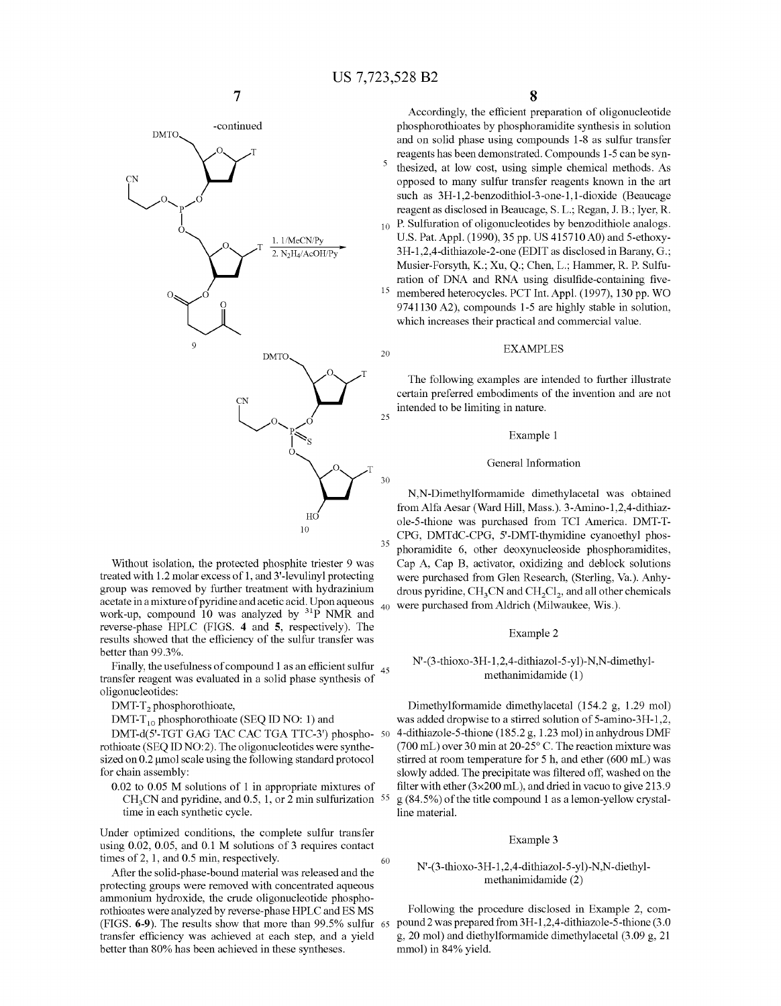



Without isolation, the protected phosphite triester 9 was treated with 1.2 molar excess of 1, and 3'-levulinyl protecting group was removed by further treatment with hydrazinium<br>acetate in a mixture of pyridine and acetic acid. Upon aqueous work-up, compound 10 was analyzed by  $31\overline{P}$  NMR and reverse-phase HPLC (FIGS. 4 and 5, respectively). The results showed that the efficiency of the sulfur transfer was better than 99.3%.

Finally, the usefulness of compound  $\frac{1}{1}$  as an efficient sulfur  $\frac{45}{15}$ transfer reagent was evaluated in a Solid phase synthesis of oligonucleotides:

 $DMT-T_2$  phosphorothioate,

 $DMT-T_{10}$  phosphorothioate (SEQ ID NO: 1) and

DMT-d(5'-TGT GAG TAC CAC TGA TTC-3') phospho- 50 rothioate (SEQ ID NO:2). The oligonucleotides were synthesized on 0.2 µmol scale using the following standard protocol for chain assembly:

0.02 to 0.05 M solutions of 1 in appropriate mixtures of  $CH<sub>3</sub>CN$  and pyridine, and 0.5, 1, or 2 min sulfurization  $55$ time in each synthetic cycle.

Under optimized conditions, the complete sulfur transfer using 0.02, 0.05, and 0.1 M solutions of 3 requires contact times of 2, 1, and 0.5 min, respectively.

After the solid-phase-bound material was released and the ammonium hydroxide, the crude oligonucleotide phosphorothioates were analyzed by reverse-phase HPLC and ESMS  $(FIO. 0-9)$ . The results show that more than 99.5% sulfur 65 transfer efficiency was achieved at each step, and a yield better than 80% has been achieved in these syntheses.

8

15 Accordingly, the efficient preparation of oligonucleotide phosphorothioates by phosphoramidite synthesis in Solution and on solid phase using compounds 1-8 as sulfur transfer reagents has been demonstrated. Compounds 1-5 can be syn thesized, at low cost, using simple chemical methods. As opposed to many Sulfur transfer reagents known in the art such as 3H-1,2-benzodithiol-3-one-1,1-dioxide (Beaucage reagent as disclosed in Beaucage, S. L.; Regan, J. B., Iyer, R. 10 P. Sulfuration of oligonucleotides by benzodithiole analogs. U.S. Pat. Appl. (1990), 35 pp. US 415710 AO) and 5-ethoxy 3H-1,2,4-dithiazole-2-one (EDIT as disclosed in Barany, G.; Musier-Forsyth, K., Xu, Q.: Chen, L.; Hammer, R. P. Sulfu ration of DNA and RNA using disulfide-containing five membered heterocycles. PCT Int. Appl. (1997), 130 pp. WO 9741130 A2), compounds 1-5 are highly stable in solution, which increases their practical and commercial value.

## EXAMPLES

The following examples are intended to further illustrate certain preferred embodiments of the invention and are not intended to be limiting in nature.

#### Example 1

#### General Information

40 were purchased from Aldrich (Milwaukee, Wis.). N,N-Dimethylformamide dimethylacetal was obtained from Alfa Aesar (Ward Hill, Mass.). 3-Amino-1,2,4-dithiaz ole-5-thione was purchased from TCI America. DMT-T-CPG, DMTdC-CPG, 5'-DMT-thymidine cyanoethyl phos phoramidite 6, other deoxynucleoside phosphoramidites, Cap A, Cap B, activator, oxidizing and deblock Solutions were purchased from Glen Research, (Sterling, Va.). Anhy drous pyridine,  $CH<sub>3</sub>CN$  and  $CH<sub>2</sub>Cl<sub>2</sub>$ , and all other chemicals

#### Example 2

## N'-(3-thioxo-3H-1,2,4-dithiazol-5-yl)-N,N-dimethyl methanimidamide (1)

Dimethylformamide dimethylacetal (154.2 g, 1.29 mol) was added dropwise to a stirred solution of 5-amino-3H-1.2. 4-dithiazole-5-thione (185.2g, 1.23 mol) in anhydrous DMF (700 mL) over 30 min at 20-25°C. The reaction mixture was stirred at room temperature for 5 h, and ether (600 mL) was slowly added. The precipitate was filtered off, washed on the filter with ether  $(3\times200 \text{ mL})$ , and dried in vacuo to give 213.9 g (84.5%) of the title compound 1 as a lemon-yellow crystal line material.

#### Example 3

## N'-(3-thioxo-3H-1,2,4-dithiazol-5-yl)-N,N-diethyl methanimidamide (2)

60

Following the procedure disclosed in Example 2, com pound 2 was prepared from 3H-1,2,4-dithiazole-5-thione (3.0 g, 20 mol) and diethylformamide dimethylacetal (3.09 g, 21 mmol) in 84% yield.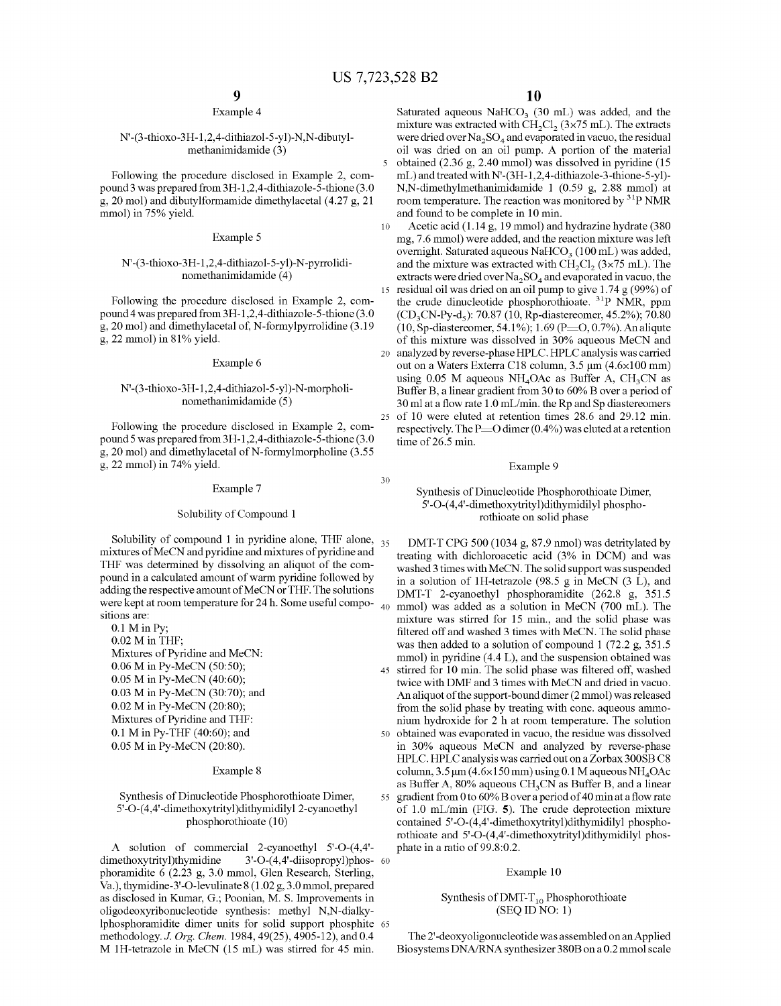$10$ 

15

25

 $30$ 

## Example 4

#### N'-(3-thioxo-3H-1,2,4-dithiazol-5-yl)-N,N-dibutylmethanimidamide (3)

Following the procedure disclosed in Example 2, compound 3 was prepared from 3H-1,2,4-dithiazole-5-thione (3.0) g, 20 mol) and dibutylformamide dimethylacetal (4.27 g, 21 mmol) in 75% yield.

#### Example 5

#### N'-(3-thioxo-3H-1,2,4-dithiazol-5-yl)-N-pyrrolidinomethanimidamide (4)

Following the procedure disclosed in Example 2, compound 4 was prepared from 3H-1,2,4-dithiazole-5-thione (3.0 g, 20 mol) and dimethylacetal of, N-formylpyrrolidine (3.19 g, 22 mmol) in 81% yield.

### Example 6

## N'-(3-thioxo-3H-1,2,4-dithiazol-5-yl)-N-morpholinomethanimidamide (5)

Following the procedure disclosed in Example 2, compound 5 was prepared from 3H-1,2,4-dithiazole-5-thione (3.0 g, 20 mol) and dimethylacetal of N-formylmorpholine (3.55 g, 22 mmol) in 74% yield.

#### Example 7

#### Solubility of Compound 1

Solubility of compound 1 in pyridine alone, THF alone,  $_{35}$ mixtures of MeCN and pyridine and mixtures of pyridine and THF was determined by dissolving an aliquot of the compound in a calculated amount of warm pyridine followed by adding the respective amount of MeCN or THF. The solutions were kept at room temperature for 24 h. Some useful compo- $_{40}$ sitions are:

0.1 M in Py; 0.02 M in THF; Mixtures of Pyridine and MeCN: 0.06 M in Py-MeCN (50:50); 0.05 M in Py-MeCN (40:60); 0.03 M in Py-MeCN (30:70); and 0.02 M in Py-MeCN (20:80); Mixtures of Pyridine and THF: 0.1 M in Py-THF (40:60); and 0.05 M in Py-MeCN (20:80).

#### Example 8

## Synthesis of Dinucleotide Phosphorothioate Dimer, 5'-O-(4,4'-dimethoxytrityl)dithymidilyl 2-cyanoethyl phosphorothioate (10)

A solution of commercial 2-cyanoethyl 5'-O-(4,4'-3'-O-(4,4'-diisopropyl)phos- 60 dimethoxytrityl)thymidine phoramidite 6 (2.23 g, 3.0 mmol, Glen Research, Sterling, Va.), thymidine-3'-O-levulinate  $8(1.02 \text{ g}, 3.0 \text{ mmol}, \text{prepared})$ as disclosed in Kumar, G.; Poonian, M. S. Improvements in oligodeoxyribonucleotide synthesis: methyl N,N-dialkylphosphoramidite dimer units for solid support phosphite 65 methodology. J. Org. Chem. 1984, 49(25), 4905-12), and 0.4 M 1H-tetrazole in MeCN (15 mL) was stirred for 45 min.

Saturated aqueous  $NAHCO<sub>3</sub>$  (30 mL) was added, and the mixture was extracted with  $CH_2Cl_2$  (3×75 mL). The extracts were dried over  $Na<sub>2</sub>SO<sub>4</sub>$  and evaporated in vacuo, the residual oil was dried on an oil pump. A portion of the material obtained (2.36 g, 2.40 mmol) was dissolved in pyridine (15 mL) and treated with N'-(3H-1,2,4-dithiazole-3-thione-5-yl)-N,N-dimethylmethanimidamide 1 (0.59 g, 2.88 mmol) at room temperature. The reaction was monitored by <sup>31</sup>P NMR and found to be complete in 10 min.

Acetic acid (1.14 g, 19 mmol) and hydrazine hydrate (380 mg, 7.6 mmol) were added, and the reaction mixture was left overnight. Saturated aqueous NaHCO<sub>3</sub> (100 mL) was added, and the mixture was extracted with  $CH_2Cl_2$  (3×75 mL). The extracts were dried over  $\text{Na}_2\text{SO}_4$  and evaporated in vacuo, the residual oil was dried on an oil pump to give 1.74 g (99%) of the crude dinucleotide phosphorothioate. <sup>31</sup>P NMR, ppm (CD<sub>3</sub>CN-Py-d<sub>5</sub>): 70.87 (10, Rp-diastereomer, 45.2%); 70.80  $(10, Sp\text{-}distance, 54.1\%); 1.69 (P=O, 0.7\%).$  An aliquite of this mixture was dissolved in 30% aqueous MeCN and 20 analyzed by reverse-phase HPLC. HPLC analysis was carried out on a Waters Exterra C18 column, 3.5 µm (4.6×100 mm) using 0.05 M aqueous  $NH_4O$ Ac as Buffer A, CH<sub>3</sub>CN as Buffer B, a linear gradient from 30 to 60% B over a period of 30 ml at a flow rate 1.0 mL/min. the Rp and Sp diastereomers of 10 were eluted at retention times 28.6 and 29.12 min. respectively. The  $P=O$  dimer (0.4%) was eluted at a retention time of 26.5 min.

#### Example 9

## Synthesis of Dinucleotide Phosphorothioate Dimer, 5'-O-(4,4'-dimethoxytrityl)dithymidilyl phosphorothioate on solid phase

DMT-T CPG 500 (1034 g, 87.9 nmol) was detritylated by treating with dichloroacetic acid (3% in DCM) and was washed 3 times with MeCN. The solid support was suspended in a solution of 1H-tetrazole (98.5 g in MeCN (3 L), and DMT-T 2-cyanoethyl phosphoramidite (262.8 g, 351.5) mmol) was added as a solution in MeCN (700 mL). The mixture was stirred for 15 min., and the solid phase was filtered off and washed 3 times with MeCN. The solid phase was then added to a solution of compound 1 (72.2 g, 351.5) mmol) in pyridine (4.4 L), and the suspension obtained was stirred for 10 min. The solid phase was filtered off, washed 45 twice with DMF and 3 times with MeCN and dried in vacuo. An aliquot of the support-bound dimer (2 mmol) was released from the solid phase by treating with conc. aqueous ammonium hydroxide for 2 h at room temperature. The solution 50 obtained was evaporated in vacuo, the residue was dissolved in 30% aqueous MeCN and analyzed by reverse-phase HPLC. HPLC analysis was carried out on a Zorbax 300SB C8 column,  $3.5 \mu m$  (4.6×150 mm) using 0.1 M aqueous NH<sub>4</sub>OAc as Buffer A,  $80\%$  aqueous CH<sub>3</sub>CN as Buffer B, and a linear 55 gradient from 0 to 60% B over a period of 40 min at a flow rate of 1.0 mL/min (FIG.  $5$ ). The crude deprotection mixture contained 5'-O-(4,4'-dimethoxytrityl)dithymidilyl phosphorothioate and 5'-O-(4,4'-dimethoxytrityl)dithymidilyl phosphate in a ratio of 99.8:0.2.

## Example 10

## Synthesis of DMT- $T_{10}$  Phosphorothioate  $(SEQ ID NO: 1)$

The 2'-deoxyoligonucleotide was assembled on an Applied Biosystems DNA/RNA synthesizer 380B on a 0.2 mmol scale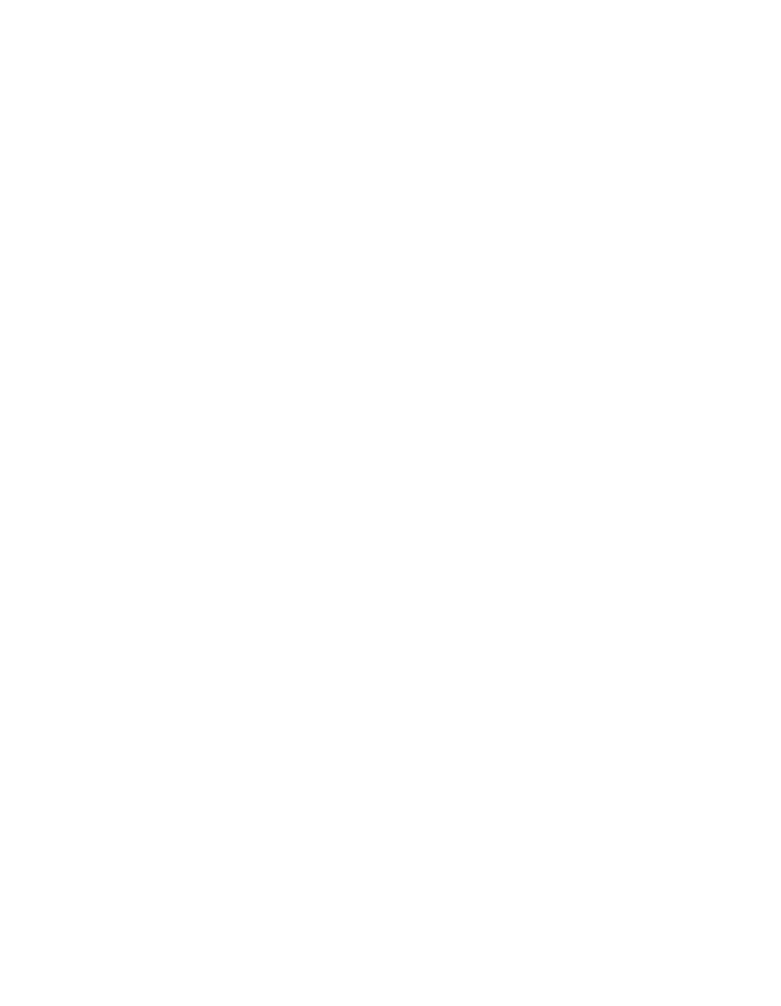55

starting with a commercial DMT-dT-Succinyl-CPG (500 A, Glen Research, Sterling, Va.), using 0.1 M solutions of protected nucleoside phosphoramidites (Glen Research, Sterling, Va.), and the following standard protocol of the chain assembly for oligonucleotide phosphorothioates:

Sulfurizing reagent 1 was dissolved in mixtures of pyridine and CH<sub>3</sub>CN at 0.02-0.05 M concentration. Sulfurization was carried out by delivering 4 equiv of sulfurizing reagent 1 to columns followed by a waiting period of 1 to 5 min. Under the optimized conditions, the complete sulfur transfer using 0.02, 0.05, and 0.1 M solutions of reagent 1 requires contact times of 2, 1, and 0.5 min, respectively. The final deprotection was carried out by treating the solid supports with concentrated aqueous ammonium hydroxide (2 mL) for 3 h at room temperature. Upon evaporation in vacuo, the crude deprotection 15 mixtures were dissolved in water, filtered, and analyzed by ES MS and reverse-phase HPLC. HPLC analysis was carried out on Waters Delta Pak C18 column, (3.9×300 mm) using 0.1 M aqueous NH<sub>4</sub>OAc as Buffer A,  $80\%$  aqueous CH<sub>3</sub>CN as Buffer B, and a linear gradient from 0 to  $60\%$  B over a period 20 of 40 min at a flow rate of 1.5 mL/min (FIG. 6). ES MS: 3426.3 (observed), 3426.9 (calculated).

#### Example 11

## Synthesis of DMT-d(TAG TGA AGT ACA CTA TGA TGT) Phosphorothioate (SEQ ID NO: 5)

The 2'-deoxyoligonucleotide was assembled on an Applied Biosystems DNA/RNA synthesizer 380B on a 0.2 µmol scale 30 starting with a commercial DMT-dT-Succinyl-CPG (500 A, Glen Research, Sterling, Va.), using 0.1 M solutions of protected nucleoside phosphoramidites (Glen Research, Sterling, Va.), and the standard protocol of the chain assembly for oligonucleotide phosphorothioates. Sulfurization was carried 35 of 1.5 mL/min. ES MS: 5965.9 (observed), 5966.5 (calcuout by delivering 4 equiv of a 0.02 M solution of sulfurizing reagent 1 to columns followed by a waiting period for 2 min. The final cleavage and deprotection of nucleic bases was carried out by treating the solid supports with concentrated aqueous ammonium hydroxide  $(2 mL)$  at  $65^{\circ}$  C. for 8 h. Upon 40 evaporation in vacuo, the crude deprotection mixtures were dissolved in water, filtered, and analyzed by ES MS and reverse-phase HPLC. HPLC analysis was carried out on Waters Delta Pak C18 column, (3.9×300 mm) using 0.1 µM aqueous NH<sub>4</sub>OAc as Buffer A, 80% aqueous CH<sub>3</sub>CN as  $45$ Buffer B, and a linear gradient from 0 to 60% B over a period of 40 min at a flow rate of 1.5 mL/min (FIG. 7). ES MS: 7059.2 (observed), 7059.7 (calculated).

## Example 12

## Synthesis of DMT-(U<sup>OMe</sup>G<sup>OMe</sup>U<sup>OMe</sup>G<sup>OMe</sup>A<sup>OMe</sup>G TdAdC dCdAdC TG<sup>OMe</sup>A<sup>OMe</sup>U<sup>OMe</sup>U<sup>OMe</sup>C<sup>OMe</sup> Phosphorothioate (SEQ ID NO: 3)

Following the procedure described in Example 11, the title oligonucleotide wherein  $A^{OMe}$ ,  $G^{OMe}$ ,  $C^{OMe}$ , and  $U^{OMe}$  refer to the respective 2'-O-methylribonucleotide residues and dA, dG, dC, and T refer to the respective 2'-deoxynucleotide residues, was synthesized. Sulfurizing reagent 1 was dis- 60 solved in pyridine at 0.1 M concentration. Sulfurization was carried out by delivering 4 equiv of sulfurizing reagent 1 to columns followed by a waiting period for 5 min. The final cleavage and deprotection of nucleic bases was carried out by treating the solid supports with concentrated aqueous ammo- 65 nium hydroxide (2 mL) at 65°C. for 8 h. Upon evaporation in vacuo, the crude deprotection mixtures were dissolved in

water, filtered, and analyzed by ES MS and reverse-phase HPLC. HPLC analysis was carried out on Waters Delta Pak C18 column,  $(3.9\times300 \text{ mm})$  using 0.1 M aqueous NH<sub>4</sub>OAc as Buffer A, 80% aqueous CH<sub>3</sub>CN as Buffer B, and a linear gradient from 0 to 60% B over a period of 40 min at a flow rate of 1.5 mL/min. ES MS: 6309.8 (observed), 6309.20 (calculated).

#### Example 13

## Synthesis of UGU GAG UAC CAC UGA UUC Phosphorothioate (SEQ ID NO: 4)

Following the procedure described in Example 11, the title oligonucleotide wherein A, G, C, and U refer to the respective ribonucleotide residues was synthesized using ethylthiotetrazole as an activator. Sulfurizing reagent 1 was dissolved in pyridine at 0.1 M concentration. Sulfurization was carried out by delivering 4 equiv of sulfurizing reagent 1 to columns followed by a waiting period for 3 min. The release from the solid phase and deprotection of nucleic bases were carried out as disclosed in N. Usman, K. K. Ogilvie, M.-Y. Jiang, and R. J. Cedergren, J. Am. Chem. Soc. 1987, 109, 7845-7854, which is incorporated by reference herein in its entirety. The 25 removal of 2'-O-tBDMS groups was carried out as disclosed in Q. Song, R. A. Jones. Use of silyl ethers as fluoride ion scavengers in RNA synthesis. Tetrahedron Lett. 1999, 40, 4653-4654, which is incorporated by reference herein in its entirety. The crude deprotection mixture was analyzed by ES MS and ion-exchange HPLC. HPLC analysis was carried out on a Dionex DNAPac PA200 column (4×250 mm) using 0.1 M aqueous Na phosphate, pH 8.5 as Buffer A,). 1 M aqueous Na phosphate plus 1 M NaBr, pH 8.5 as Buffer B, and a linear gradient from 0 to  $60\%$  B over a period of 40 min at a flow rate lated).

#### Example 14

### Stability of N'-(3-thioxo-3H-1.2.4-dithiazol-5-yl)-N. N-dimethylmethanimidamide 1 in solution

Stability studies were carried out by keeping a 0.02 M solution of compound 1 in anhydrous pyridine-CH<sub>3</sub>CN (20: 80) at 25° C. Every two weeks, the solution was used as the sulfurizing reagent in the preparation of DMT-T10 phosphorothioate (SEQ ID NO: 1). Upon completion of the synthesis, the solid phase-bound material was released with concentrated aqueous ammonium hydroxide for 2 h, the solution was 50 evaporated, and the crude oligonucleotide obtained was redissolved in water and analyzed by reverse-phase HPLC (FIG. 6). Comparison of the HPLC traces showed no deterioration of the activity of the reagent over a period of 20 weeks, at which point the experiment was terminated.

All patents and other references cited in the specification are indicative of the level of skill of those skilled in the art to which the invention pertains, and are incorporated by reference in their entireties, including any tables and figures, to the same extent as if each reference had been incorporated by reference in its entirety individually.

One skilled in the art would readily appreciate that the present invention is well adapted to obtain the ends and advantages mentioned, as well as those inherent therein. The methods, variances, and compositions described herein as presently representative of preferred embodiments are exemplary and are not intended as limitations on the scope of the invention. Changes therein and other uses will occur to those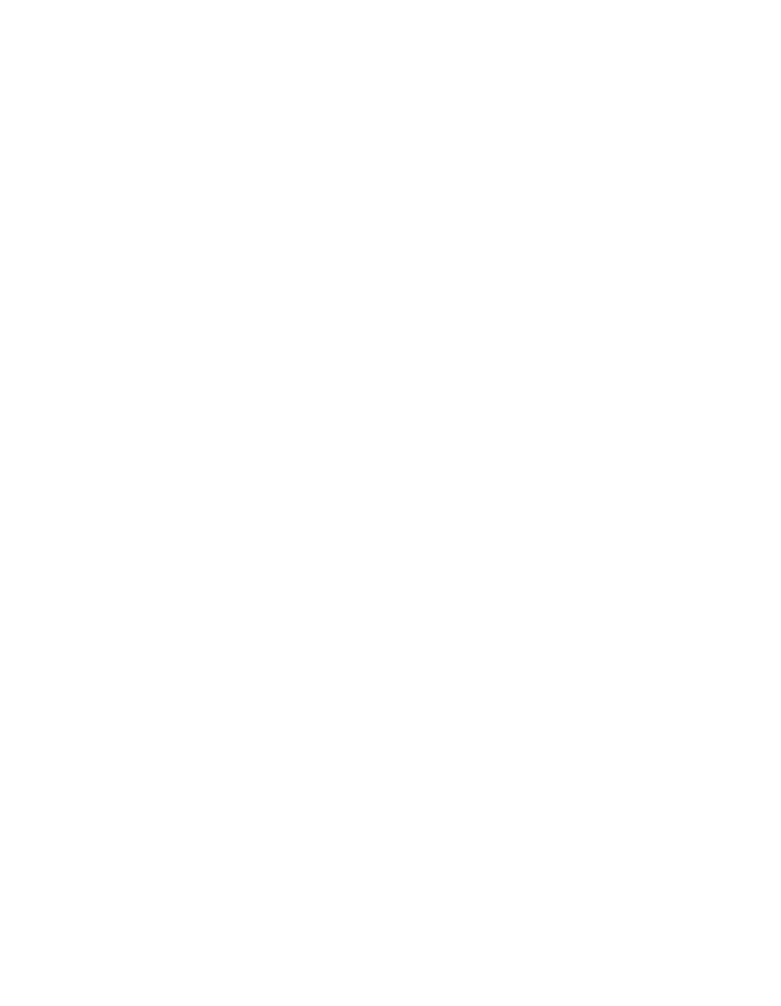skilled in the art, which are encompassed within the spirit of the invention, are defined by the scope of the claims.

The invention illustratively described herein suitably may be practiced in the absence of any element or elements, limitation or limitations which is not specifically disclosed herein. 5 Thus, for example, in each instance herein any of the terms "comprising", "consisting essentially of" and "consisting of" may be replaced with either of the other two terms. Thus, for an embodiment of the invention using one of the terms, the invention also includes another embodiment wherein one of  $10$ these terms is replaced with another of these terms. In each embodiment, the terms have their established meaning. Thus, for example, one embodiment may encompass a method "comprising" a series of steps, another embodiment would encompass a method "consisting essentially of" the same 15 steps, and a third embodiment would encompass a method "consisting of" the same steps. The terms and expressions which have been employed are used as terms of description and not of limitation, and there is no intention that in the use of such terms and expressions of excluding any equivalents of 20 the features shown and described or portions thereof, but it is

recognized that various modifications are possible within the scope of the invention claimed. Thus, it should be understood that although the present invention has been specifically disclosed by preferred embodiments and optional features, modification and variation of the concepts herein disclosed may be resorted to by those skilled in the art, and that such modifications and variations are considered to be within the scope of this invention as defined by the appended claims.

In addition, where features or aspects of the invention are described in terms of Markush groups or other grouping of alternatives, those skilled in the art will recognize that the invention is also thereby described in terms of any individual member or subgroup of members of the Markush group or other group.

Also, unless indicated to the contrary, where various numerical values are provided for embodiments, additional embodiments are described by taking any 2 different values as the endpoints of a range. Such ranges are also within the scope of the described invention.

Thus, additional embodiments are within the scope of the invention and within the following claims.

SEOUENCE LISTING <160> NUMBER OF SEQ ID NOS: 5  $<$  210> SEQ ID NO 1  $<$  211> LENGTH: 10  $<$  212> TYPE: DNA <213> ORGANISM: Artificial Sequence  $<$  220 > FEATURE: <223> OTHER INFORMATION: Description of Artificial Sequence: Synthetic oligonucleotide <400> SEQUENCE:  $1$ tttttttttt  $10$  $<sub>210</sub>$  SEQ ID NO 2</sub>  $<$  211> LENGTH: 18  $<$  212> TYPE: DNA <213> ORGANISM: Artificial Sequence  $<$  220> FEATURE: <223> OTHER INFORMATION: Description of Artificial Sequence: Synthetic oligonucleotide  $<400>$  SEQUENCE: 2  $18$ tqtqaqtacc actqattc <210> SEQ ID NO 3  $<$  211> LENGTH: 18  $<$  212> TYPE: DNA <213> ORGANISM: Artificial Sequence  $<$  220> FEATURE: <223> OTHER INFORMATION: Description of Combined DNA/RNA Molecule: Synthetic oligonucleotide  $< 220$  > FEATURE: <223> OTHER INFORMATION: Description of Artificial Sequence: Synthetic oligonucleotide <220> FEATURE: <221> NAME/KEY: modified\_base  $<222>$  LOCATION:  $(1)$ <223> OTHER INFORMATION: 2'-O-methyl-u <220> FEATURE: <221> NAME/KEY: modified\_base  $<$  222> LOCATION: (2) <223> OTHER INFORMATION: 2'-O-methyl-g  $<$  220> FEATURE: <221> NAME/KEY: modified\_base  $<$  222> LOCATION: (3)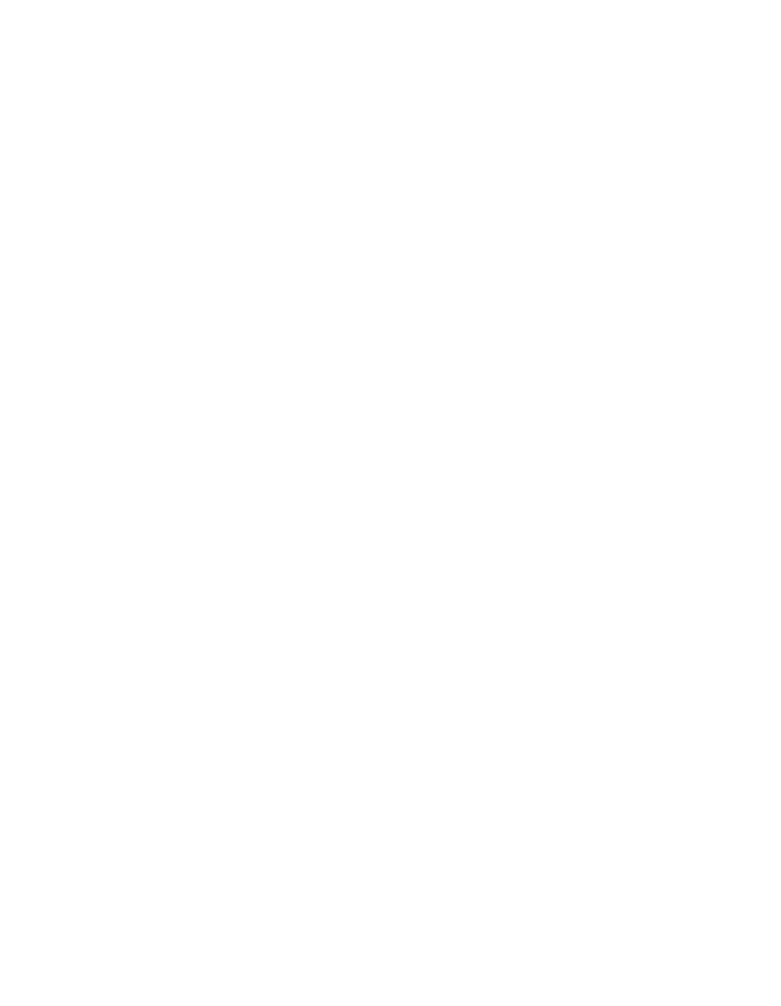-continued

<223> OTHER INFORMATION: 2'-O-methyl-u  $<$  220 > FEATURE: <221> NAME/KEY: modified base  $<222>$  LOCATION: (4) <223> OTHER INFORMATION: 2'-O-methyl-q  $<$  220 > FEATURE: <221> NAME/KEY: modified\_base  $<222>$  LOCATION: (5) <223> OTHER INFORMATION: 2'-O-methyl-a  $< 220$  > FEATURE. <221> NAME/KEY: modified\_base  $<222>$  LOCATION: (14) <223> OTHER INFORMATION: 2'-O-methyl-g  $<$  220 > FEATURE: <221> NAME/KEY: modified\_base  $<222>$  LOCATION: (15) <223> OTHER INFORMATION: 2'-O-methyl-a  $<$  220 > FEATURE: <221> NAME/KEY: modified\_base  $<222>$  LOCATION:  $(16)$ .  $(17)$ <223> OTHER INFORMATION: 2'-O-methyl-u  $<\!220\!>$  FEATURE: <221> NAME/KEY: modified\_base  $<222>$  LOCATION: (18) <223> OTHER INFORMATION: 2'-O-methyl-c  $<400>$  SEQUENCE: 3  $1\,8$ ugugagtacc actgauuc  $<$  210> SEQ ID NO 4  $< 211 >$  LENGTH: 18  $<212>$  TYPE:  $\,$  RNA <213> ORGANISM: Artificial Sequence  $<$  220 > FEATURE: <223> OTHER INFORMATION: Description of Artificial Sequence: Synthetic oligonucleotide  $<$  400> SEQUENCE: 4  $18$ ugugaguacc acugauuc  $<$  210 > SEO ID NO 5  $< 211$  > LENGTH: 21  $<212>$  TYPE: DNA <213> ORGANISM: Artificial Sequence  $<$  220 > FEATURE: <223> OTHER INFORMATION: Description of Artificial Sequence: Synthetic oligonucleotide  $<400>$  SEQUENCE: 5 tagtgaagta cactatgatg t  $21$ 

What is claimed is:

50

 $55$ 

60

1. A sulfur transfer reagent having the general structure according to Formula I:

Formula I:



wherein:

 $R<sup>1</sup>$  and  $R<sup>2</sup>$  are independently H, an alkyl group, an aryl group, or an aralkyl group, or

 $R<sup>1</sup>$ ,  $R<sup>2</sup>$  and the N to which they are attached form a ring structure so that  $R^1 + R^2 = -(CH_2 - )_n$  or  $-(CH_2)_n$  $X \rightarrow (CH_2)_{n} \rightarrow$ 

each n independently varies from 2 to about 20,

X is O, NR or S, and

- R is an alkyl group, an aryl group, or an aralkyl group.
- 2. The reagent of claim 1 where  $R^1 = R^2 = CH_3$ .
- 3. The reagent of claim 1 where  $R^1 = R^2 = C_2H_3$ .
- 4. The reagent of claim 1 where  $R^1 = R^2$ =n-butyl.
- 5. The reagent of claim 1 where  $R^1 + R^2 = -(CH_2)_2 O$  $(CH_2)_2$ .

6. The reagent of claim 1 where  $R^1 + R^2 = -(CH_2)_4$ .

7. A process of sulfur transfer that comprises bringing an 65 oligonucleotide having at least one reactive internucleosidic linkage that contains a phosphorous (III) atom in contact with a sulfur transfer reagent according to claim 1 for a time